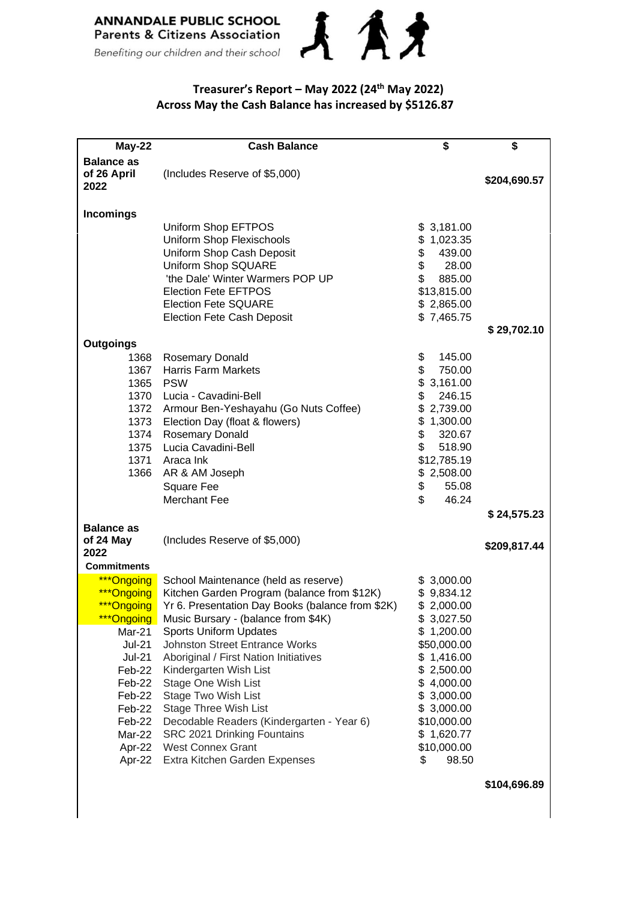

## **Treasurer's Report – May 2022 (24 th May 2022) Across May the Cash Balance has increased by \$5126.87**

| May-22                                                                                                                                                                 | <b>Cash Balance</b>                                                                                                                                                                                                                                                                                                                                                                                                                                                                                                                         | \$                                                                                                                                                                                                                 | \$           |
|------------------------------------------------------------------------------------------------------------------------------------------------------------------------|---------------------------------------------------------------------------------------------------------------------------------------------------------------------------------------------------------------------------------------------------------------------------------------------------------------------------------------------------------------------------------------------------------------------------------------------------------------------------------------------------------------------------------------------|--------------------------------------------------------------------------------------------------------------------------------------------------------------------------------------------------------------------|--------------|
| <b>Balance as</b><br>of 26 April<br>2022                                                                                                                               | (Includes Reserve of \$5,000)                                                                                                                                                                                                                                                                                                                                                                                                                                                                                                               |                                                                                                                                                                                                                    | \$204,690.57 |
| <b>Incomings</b>                                                                                                                                                       |                                                                                                                                                                                                                                                                                                                                                                                                                                                                                                                                             |                                                                                                                                                                                                                    |              |
|                                                                                                                                                                        | Uniform Shop EFTPOS<br>Uniform Shop Flexischools<br>Uniform Shop Cash Deposit<br>Uniform Shop SQUARE<br>'the Dale' Winter Warmers POP UP<br><b>Election Fete EFTPOS</b><br><b>Election Fete SQUARE</b><br><b>Election Fete Cash Deposit</b>                                                                                                                                                                                                                                                                                                 | \$3,181.00<br>\$1,023.35<br>\$<br>439.00<br>\$<br>28.00<br>$\mathbb{S}$<br>885.00<br>\$13,815.00<br>\$2,865.00<br>\$7,465.75                                                                                       | \$29,702.10  |
| <b>Outgoings</b><br>1368                                                                                                                                               |                                                                                                                                                                                                                                                                                                                                                                                                                                                                                                                                             | \$<br>145.00                                                                                                                                                                                                       |              |
| 1365 PSW<br>1373                                                                                                                                                       | Rosemary Donald<br>1367 Harris Farm Markets<br>1370 Lucia - Cavadini-Bell<br>1372 Armour Ben-Yeshayahu (Go Nuts Coffee)<br>Election Day (float & flowers)<br>1374 Rosemary Donald<br>1375 Lucia Cavadini-Bell<br>1371 Araca Ink<br>1366 AR & AM Joseph<br>Square Fee<br>Merchant Fee                                                                                                                                                                                                                                                        | \$<br>750.00<br>\$3,161.00<br>\$<br>246.15<br>\$2,739.00<br>\$1,300.00<br>\$<br>320.67<br>\$<br>518.90<br>\$12,785.19<br>\$2,508.00<br>\$<br>55.08<br>\$<br>46.24                                                  |              |
| <b>Balance as</b>                                                                                                                                                      |                                                                                                                                                                                                                                                                                                                                                                                                                                                                                                                                             |                                                                                                                                                                                                                    | \$24,575.23  |
| of 24 May<br>2022<br><b>Commitments</b>                                                                                                                                | (Includes Reserve of \$5,000)                                                                                                                                                                                                                                                                                                                                                                                                                                                                                                               |                                                                                                                                                                                                                    | \$209,817.44 |
| ***Ongoing<br>***Ongoing<br>***Ongoing<br><b>Ongoing</b><br>Mar-21<br>Jul-21<br>Jul-21<br>Feb-22<br>Feb-22<br>Feb-22<br>Feb-22<br>Feb-22<br>Mar-22<br>Apr-22<br>Apr-22 | School Maintenance (held as reserve)<br>Kitchen Garden Program (balance from \$12K)<br>Yr 6. Presentation Day Books (balance from \$2K)<br>Music Bursary - (balance from \$4K)<br><b>Sports Uniform Updates</b><br><b>Johnston Street Entrance Works</b><br>Aboriginal / First Nation Initiatives<br>Kindergarten Wish List<br>Stage One Wish List<br>Stage Two Wish List<br>Stage Three Wish List<br>Decodable Readers (Kindergarten - Year 6)<br>SRC 2021 Drinking Fountains<br><b>West Connex Grant</b><br>Extra Kitchen Garden Expenses | \$3,000.00<br>\$9,834.12<br>\$2,000.00<br>\$3,027.50<br>\$1,200.00<br>\$50,000.00<br>\$1,416.00<br>\$2,500.00<br>\$4,000.00<br>\$3,000.00<br>\$3,000.00<br>\$10,000.00<br>\$1,620.77<br>\$10,000.00<br>\$<br>98.50 | \$104,696.89 |